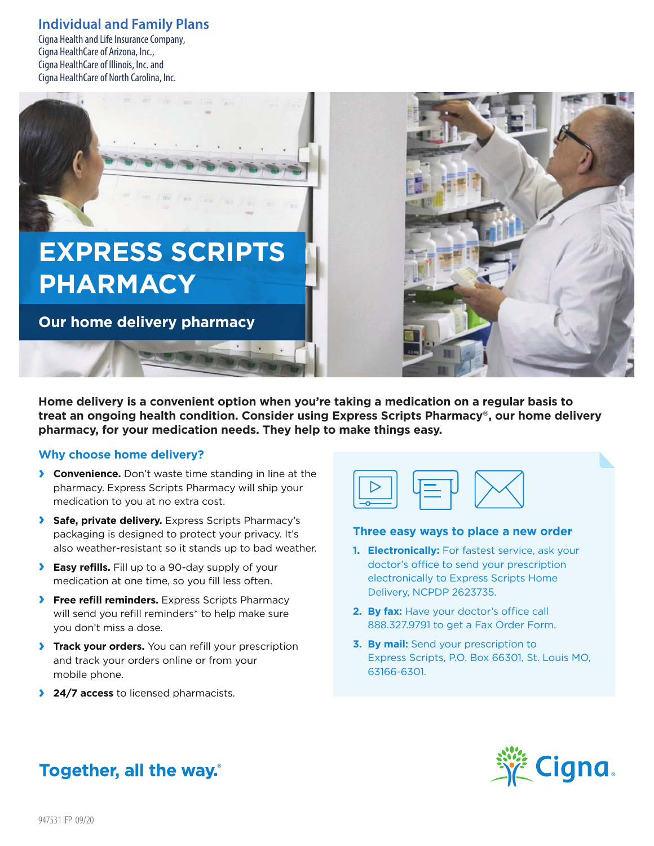### **Individual and Family Plans**

Cigna Health and Life Insurance Company, Cigna HealthCare of Arizona, Inc., Cigna HealthCare of Illinois, Inc. and Cigna HealthCare of North Carolina, Inc.



**Home delivery is a convenient option when you're taking a medication on a regular basis to treat an ongoing health condition. Consider using Express Scripts Pharmacy®, our home delivery pharmacy, for your medication needs. They help to make things easy.**

### **Why choose home delivery?**

- **› Convenience.** Don't waste time standing in line at the pharmacy. Express Scripts Pharmacy will ship your medication to you at no extra cost.
- **› Safe, private delivery.** Express Scripts Pharmacy's packaging is designed to protect your privacy. It's also weather-resistant so it stands up to bad weather.
- **› Easy refills.** Fill up to <sup>a</sup> 90-day supply of your medication at one time, so you fill less often.
- **› Free refill reminders.** Express Scripts Pharmacy will send you refill reminders<sup>\*</sup> to help make sure you don't miss a dose.
- **› Track your orders.** You can refill your prescription and track your orders online or from your mobile phone.
- **› 24/7 access** to licensed pharmacists.



### **Three easy ways to place a new order**

- **1. Electronically:** For fastest service, ask your doctor's office to send your prescription electronically to Express Scripts Home Delivery, NCPDP 2623735.
- **2. By fax:** Have your doctor's office call 888.327.9791 to get a Fax Order Form.
- **3. By mail:** Send your prescription to Express Scripts, P.O. Box 66301, St. Louis MO, 63166-6301.



# **Together, all the way.**